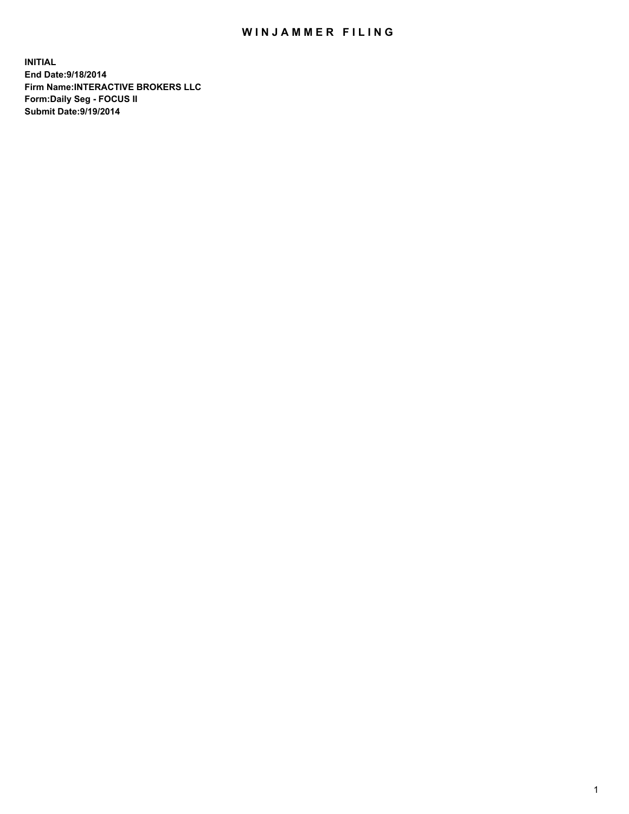## WIN JAMMER FILING

**INITIAL End Date:9/18/2014 Firm Name:INTERACTIVE BROKERS LLC Form:Daily Seg - FOCUS II Submit Date:9/19/2014**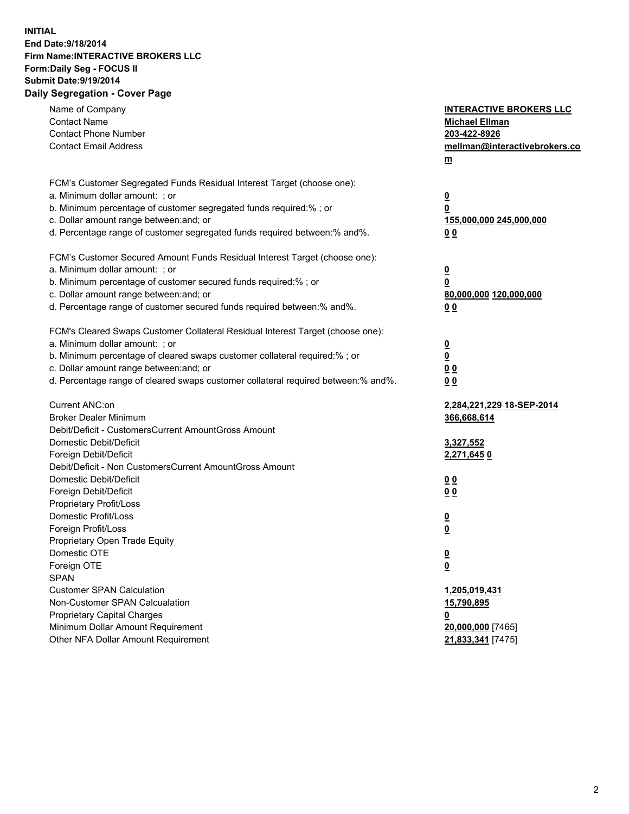## **INITIAL End Date:9/18/2014 Firm Name:INTERACTIVE BROKERS LLC Form:Daily Seg - FOCUS II Submit Date:9/19/2014 Daily Segregation - Cover Page**

| Name of Company<br><b>Contact Name</b><br><b>Contact Phone Number</b><br><b>Contact Email Address</b>    | <b>INTERACTIVE BROKERS LLC</b><br><b>Michael Ellman</b><br>203-422-8926<br>mellman@interactivebrokers.co<br>$m$ |
|----------------------------------------------------------------------------------------------------------|-----------------------------------------------------------------------------------------------------------------|
| FCM's Customer Segregated Funds Residual Interest Target (choose one):<br>a. Minimum dollar amount: ; or | $\overline{\mathbf{0}}$                                                                                         |
| b. Minimum percentage of customer segregated funds required:% ; or                                       | 0                                                                                                               |
| c. Dollar amount range between: and; or                                                                  | 155,000,000 245,000,000                                                                                         |
| d. Percentage range of customer segregated funds required between:% and%.                                | 0 <sub>0</sub>                                                                                                  |
| FCM's Customer Secured Amount Funds Residual Interest Target (choose one):                               |                                                                                                                 |
| a. Minimum dollar amount: ; or                                                                           | $\overline{\mathbf{0}}$                                                                                         |
| b. Minimum percentage of customer secured funds required:% ; or                                          | 0                                                                                                               |
| c. Dollar amount range between: and; or                                                                  | 80,000,000 120,000,000                                                                                          |
| d. Percentage range of customer secured funds required between:% and%.                                   | 0 <sub>0</sub>                                                                                                  |
| FCM's Cleared Swaps Customer Collateral Residual Interest Target (choose one):                           |                                                                                                                 |
| a. Minimum dollar amount: ; or                                                                           | $\overline{\mathbf{0}}$                                                                                         |
| b. Minimum percentage of cleared swaps customer collateral required:% ; or                               | $\overline{\mathbf{0}}$                                                                                         |
| c. Dollar amount range between: and; or                                                                  | 0 <sub>0</sub>                                                                                                  |
| d. Percentage range of cleared swaps customer collateral required between:% and%.                        | 0 <sub>0</sub>                                                                                                  |
| Current ANC:on                                                                                           | 2,284,221,229 18-SEP-2014                                                                                       |
| <b>Broker Dealer Minimum</b>                                                                             | 366,668,614                                                                                                     |
| Debit/Deficit - CustomersCurrent AmountGross Amount                                                      |                                                                                                                 |
| Domestic Debit/Deficit                                                                                   | 3,327,552                                                                                                       |
| Foreign Debit/Deficit                                                                                    | 2,271,6450                                                                                                      |
| Debit/Deficit - Non CustomersCurrent AmountGross Amount                                                  |                                                                                                                 |
| Domestic Debit/Deficit                                                                                   | 0 <sub>0</sub>                                                                                                  |
| Foreign Debit/Deficit                                                                                    | 0 <sub>0</sub>                                                                                                  |
| Proprietary Profit/Loss                                                                                  |                                                                                                                 |
| Domestic Profit/Loss                                                                                     | $\overline{\mathbf{0}}$                                                                                         |
| Foreign Profit/Loss                                                                                      | $\underline{\mathbf{0}}$                                                                                        |
| Proprietary Open Trade Equity<br>Domestic OTE                                                            |                                                                                                                 |
|                                                                                                          | <u>0</u>                                                                                                        |
| Foreign OTE<br><b>SPAN</b>                                                                               | <u>0</u>                                                                                                        |
| <b>Customer SPAN Calculation</b>                                                                         | 1,205,019,431                                                                                                   |
| Non-Customer SPAN Calcualation                                                                           | <u>15,790,895</u>                                                                                               |
| Proprietary Capital Charges                                                                              | <u>0</u>                                                                                                        |
| Minimum Dollar Amount Requirement                                                                        | 20,000,000 [7465]                                                                                               |
| Other NFA Dollar Amount Requirement                                                                      | 21,833,341 [7475]                                                                                               |
|                                                                                                          |                                                                                                                 |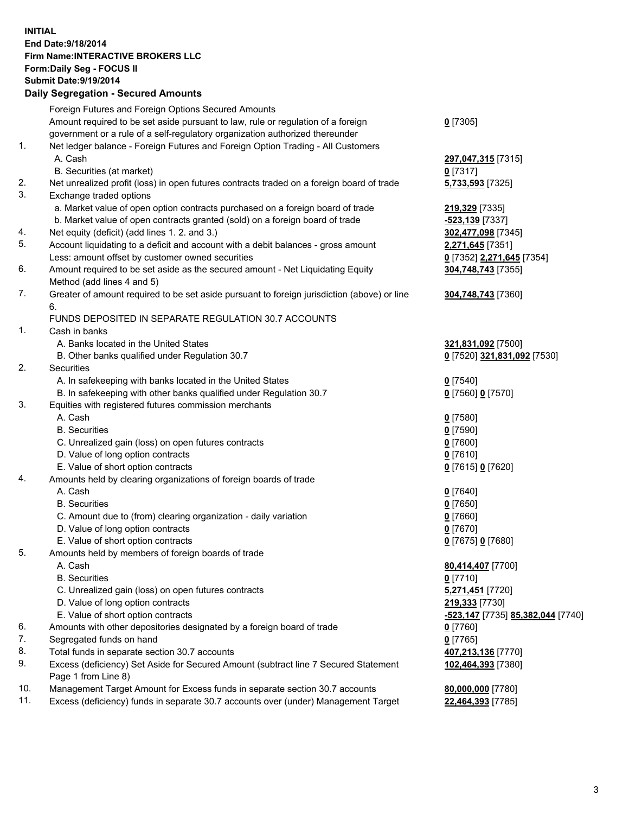## **INITIAL End Date:9/18/2014 Firm Name:INTERACTIVE BROKERS LLC Form:Daily Seg - FOCUS II Submit Date:9/19/2014 Daily Segregation - Secured Amounts**

|                | Daily Jegregation - Jeculed Aniounts                                                        |                                   |
|----------------|---------------------------------------------------------------------------------------------|-----------------------------------|
|                | Foreign Futures and Foreign Options Secured Amounts                                         |                                   |
|                | Amount required to be set aside pursuant to law, rule or regulation of a foreign            | $0$ [7305]                        |
|                | government or a rule of a self-regulatory organization authorized thereunder                |                                   |
| 1.             | Net ledger balance - Foreign Futures and Foreign Option Trading - All Customers             |                                   |
|                | A. Cash                                                                                     | 297,047,315 [7315]                |
|                | B. Securities (at market)                                                                   | $0$ [7317]                        |
| 2.             | Net unrealized profit (loss) in open futures contracts traded on a foreign board of trade   | 5,733,593 [7325]                  |
| 3.             | Exchange traded options                                                                     |                                   |
|                | a. Market value of open option contracts purchased on a foreign board of trade              | 219,329 [7335]                    |
|                | b. Market value of open contracts granted (sold) on a foreign board of trade                | -523,139 [7337]                   |
| 4.             | Net equity (deficit) (add lines 1. 2. and 3.)                                               | 302,477,098 [7345]                |
| 5.             | Account liquidating to a deficit and account with a debit balances - gross amount           | 2,271,645 [7351]                  |
|                | Less: amount offset by customer owned securities                                            | 0 [7352] 2,271,645 [7354]         |
| 6.             | Amount required to be set aside as the secured amount - Net Liquidating Equity              | 304,748,743 [7355]                |
|                | Method (add lines 4 and 5)                                                                  |                                   |
| 7.             | Greater of amount required to be set aside pursuant to foreign jurisdiction (above) or line | 304,748,743 [7360]                |
|                | 6.                                                                                          |                                   |
|                | FUNDS DEPOSITED IN SEPARATE REGULATION 30.7 ACCOUNTS                                        |                                   |
| $\mathbf{1}$ . | Cash in banks                                                                               |                                   |
|                | A. Banks located in the United States                                                       | 321,831,092 [7500]                |
|                | B. Other banks qualified under Regulation 30.7                                              | 0 [7520] 321,831,092 [7530]       |
| 2.             | Securities                                                                                  |                                   |
|                | A. In safekeeping with banks located in the United States                                   | $0$ [7540]                        |
|                | B. In safekeeping with other banks qualified under Regulation 30.7                          | 0 [7560] 0 [7570]                 |
| 3.             | Equities with registered futures commission merchants                                       |                                   |
|                | A. Cash                                                                                     | $0$ [7580]                        |
|                | <b>B.</b> Securities                                                                        | $0$ [7590]                        |
|                | C. Unrealized gain (loss) on open futures contracts                                         | $0$ [7600]                        |
|                | D. Value of long option contracts                                                           | $0$ [7610]                        |
|                | E. Value of short option contracts                                                          | 0 [7615] 0 [7620]                 |
| 4.             | Amounts held by clearing organizations of foreign boards of trade                           |                                   |
|                | A. Cash                                                                                     | $0$ [7640]                        |
|                | <b>B.</b> Securities                                                                        | $0$ [7650]                        |
|                | C. Amount due to (from) clearing organization - daily variation                             | $0$ [7660]                        |
|                | D. Value of long option contracts                                                           | $0$ [7670]                        |
|                | E. Value of short option contracts                                                          | 0 [7675] 0 [7680]                 |
| 5.             | Amounts held by members of foreign boards of trade                                          |                                   |
|                | A. Cash                                                                                     | 80,414,407 [7700]                 |
|                | <b>B.</b> Securities                                                                        | $0$ [7710]                        |
|                | C. Unrealized gain (loss) on open futures contracts                                         | 5,271,451 [7720]                  |
|                | D. Value of long option contracts                                                           | 219,333 [7730]                    |
|                | E. Value of short option contracts                                                          | -523,147 [7735] 85,382,044 [7740] |
| 6.             | Amounts with other depositories designated by a foreign board of trade                      | $0$ [7760]                        |
| 7.             | Segregated funds on hand                                                                    | $0$ [7765]                        |
| 8.             | Total funds in separate section 30.7 accounts                                               | 407,213,136 [7770]                |
| 9.             | Excess (deficiency) Set Aside for Secured Amount (subtract line 7 Secured Statement         | 102,464,393 [7380]                |
|                | Page 1 from Line 8)                                                                         |                                   |
| 10.            | Management Target Amount for Excess funds in separate section 30.7 accounts                 | 80,000,000 [7780]                 |
| 11.            | Excess (deficiency) funds in separate 30.7 accounts over (under) Management Target          | 22,464,393 [7785]                 |
|                |                                                                                             |                                   |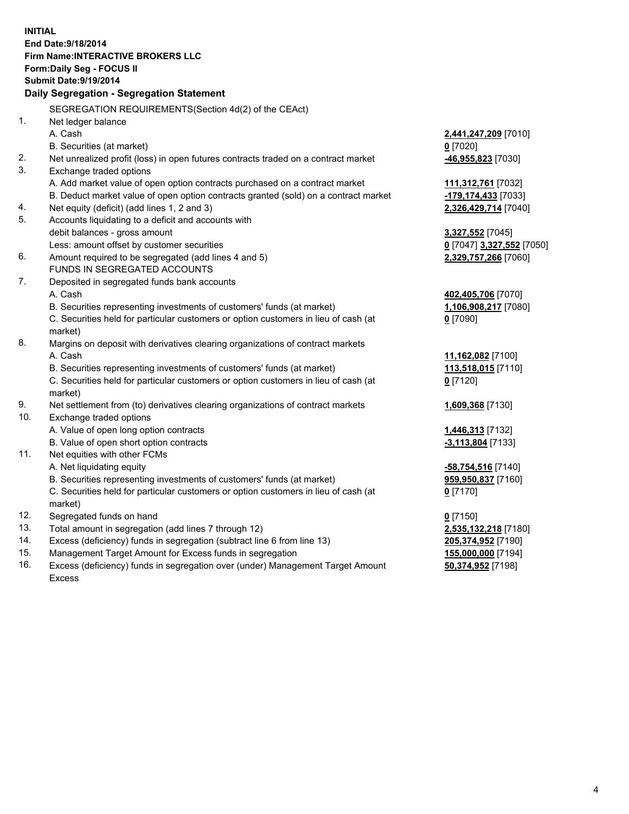**INITIAL End Date:9/18/2014 Firm Name:INTERACTIVE BROKERS LLC Form:Daily Seg - FOCUS II Submit Date:9/19/2014 Daily Segregation - Segregation Statement** SEGREGATION REQUIREMENTS(Section 4d(2) of the CEAct) 1. Net ledger balance A. Cash **2,441,247,209** [7010] B. Securities (at market) **0** [7020] 2. Net unrealized profit (loss) in open futures contracts traded on a contract market **-46,955,823** [7030] 3. Exchange traded options A. Add market value of open option contracts purchased on a contract market **111,312,761** [7032] B. Deduct market value of open option contracts granted (sold) on a contract market **-179,174,433** [7033] 4. Net equity (deficit) (add lines 1, 2 and 3) **2,326,429,714** [7040] 5. Accounts liquidating to a deficit and accounts with debit balances - gross amount **3,327,552** [7045] Less: amount offset by customer securities **0** [7047] **3,327,552** [7050] 6. Amount required to be segregated (add lines 4 and 5) **2,329,757,266** [7060] FUNDS IN SEGREGATED ACCOUNTS 7. Deposited in segregated funds bank accounts A. Cash **402,405,706** [7070] B. Securities representing investments of customers' funds (at market) **1,106,908,217** [7080] C. Securities held for particular customers or option customers in lieu of cash (at market) **0** [7090] 8. Margins on deposit with derivatives clearing organizations of contract markets A. Cash **11,162,082** [7100] B. Securities representing investments of customers' funds (at market) **113,518,015** [7110] C. Securities held for particular customers or option customers in lieu of cash (at market) **0** [7120] 9. Net settlement from (to) derivatives clearing organizations of contract markets **1,609,368** [7130] 10. Exchange traded options A. Value of open long option contracts **1,446,313** [7132] B. Value of open short option contracts **-3,113,804** [7133] 11. Net equities with other FCMs A. Net liquidating equity **-58,754,516** [7140] B. Securities representing investments of customers' funds (at market) **959,950,837** [7160] C. Securities held for particular customers or option customers in lieu of cash (at market) **0** [7170] 12. Segregated funds on hand **0** [7150] 13. Total amount in segregation (add lines 7 through 12) **2,535,132,218** [7180] 14. Excess (deficiency) funds in segregation (subtract line 6 from line 13) **205,374,952** [7190] 15. Management Target Amount for Excess funds in segregation **155,000,000** [7194]

16. Excess (deficiency) funds in segregation over (under) Management Target Amount Excess

**50,374,952** [7198]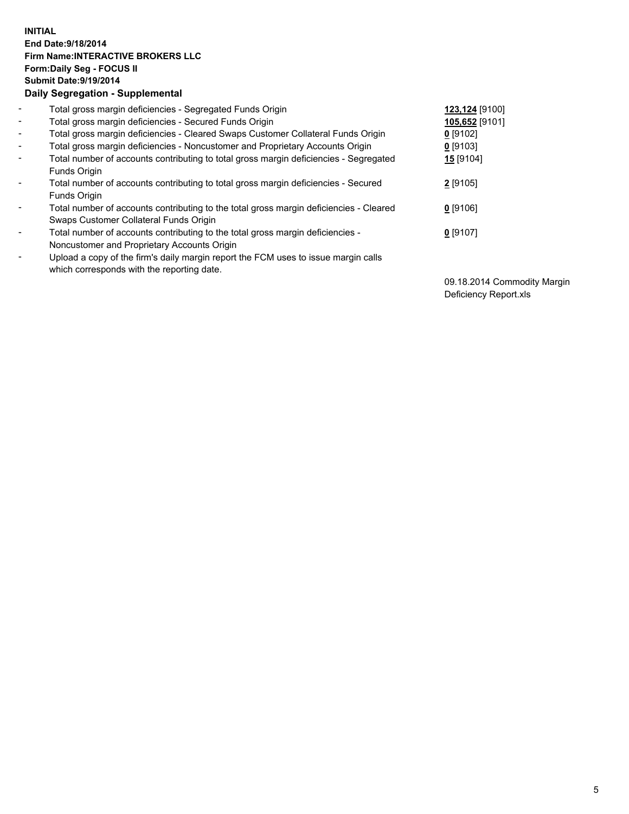## **INITIAL End Date:9/18/2014 Firm Name:INTERACTIVE BROKERS LLC Form:Daily Seg - FOCUS II Submit Date:9/19/2014 Daily Segregation - Supplemental**

| $\blacksquare$           | Total gross margin deficiencies - Segregated Funds Origin                              | 123,124 [9100] |
|--------------------------|----------------------------------------------------------------------------------------|----------------|
| $\blacksquare$           | Total gross margin deficiencies - Secured Funds Origin                                 | 105,652 [9101] |
| $\blacksquare$           | Total gross margin deficiencies - Cleared Swaps Customer Collateral Funds Origin       | $0$ [9102]     |
| $\blacksquare$           | Total gross margin deficiencies - Noncustomer and Proprietary Accounts Origin          | $0$ [9103]     |
| $\blacksquare$           | Total number of accounts contributing to total gross margin deficiencies - Segregated  | 15 [9104]      |
|                          | Funds Origin                                                                           |                |
| $\blacksquare$           | Total number of accounts contributing to total gross margin deficiencies - Secured     | $2$ [9105]     |
|                          | Funds Origin                                                                           |                |
| $\overline{\phantom{a}}$ | Total number of accounts contributing to the total gross margin deficiencies - Cleared | $0$ [9106]     |
|                          | Swaps Customer Collateral Funds Origin                                                 |                |
| -                        | Total number of accounts contributing to the total gross margin deficiencies -         | $0$ [9107]     |
|                          | Noncustomer and Proprietary Accounts Origin                                            |                |
| $\blacksquare$           | Upload a copy of the firm's daily margin report the FCM uses to issue margin calls     |                |
|                          | which corresponds with the reporting date.                                             |                |

09.18.2014 Commodity Margin Deficiency Report.xls